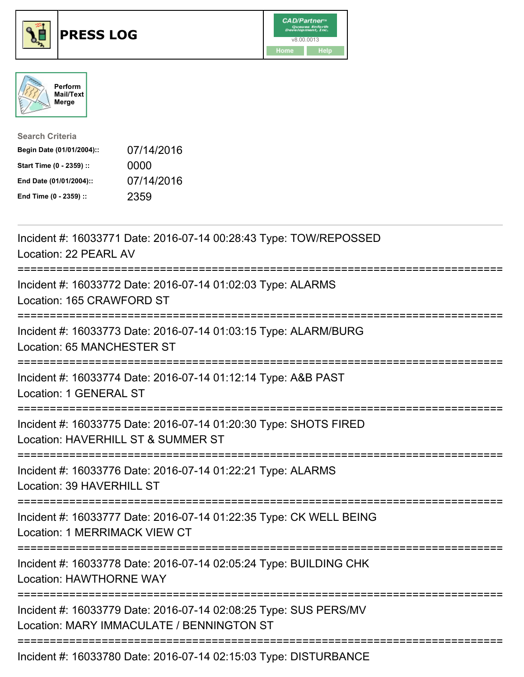





| <b>Search Criteria</b>    |            |
|---------------------------|------------|
| Begin Date (01/01/2004):: | 07/14/2016 |
| Start Time (0 - 2359) ::  | 0000       |
| End Date (01/01/2004)::   | 07/14/2016 |
| End Time (0 - 2359) ::    | 2359       |

| Incident #: 16033771 Date: 2016-07-14 00:28:43 Type: TOW/REPOSSED<br>Location: 22 PEARL AV<br>:===========                                      |
|-------------------------------------------------------------------------------------------------------------------------------------------------|
| Incident #: 16033772 Date: 2016-07-14 01:02:03 Type: ALARMS<br>Location: 165 CRAWFORD ST                                                        |
| Incident #: 16033773 Date: 2016-07-14 01:03:15 Type: ALARM/BURG<br><b>Location: 65 MANCHESTER ST</b>                                            |
| Incident #: 16033774 Date: 2016-07-14 01:12:14 Type: A&B PAST<br>Location: 1 GENERAL ST                                                         |
| Incident #: 16033775 Date: 2016-07-14 01:20:30 Type: SHOTS FIRED<br>Location: HAVERHILL ST & SUMMER ST<br>===========================           |
| Incident #: 16033776 Date: 2016-07-14 01:22:21 Type: ALARMS<br>Location: 39 HAVERHILL ST                                                        |
| Incident #: 16033777 Date: 2016-07-14 01:22:35 Type: CK WELL BEING<br>Location: 1 MERRIMACK VIEW CT<br>;==========================              |
| Incident #: 16033778 Date: 2016-07-14 02:05:24 Type: BUILDING CHK<br><b>Location: HAWTHORNE WAY</b><br>---------------------<br>--------------- |
| Incident #: 16033779 Date: 2016-07-14 02:08:25 Type: SUS PERS/MV<br>Location: MARY IMMACULATE / BENNINGTON ST                                   |
| Incident #: 16033780 Date: 2016-07-14 02:15:03 Type: DISTURBANCE                                                                                |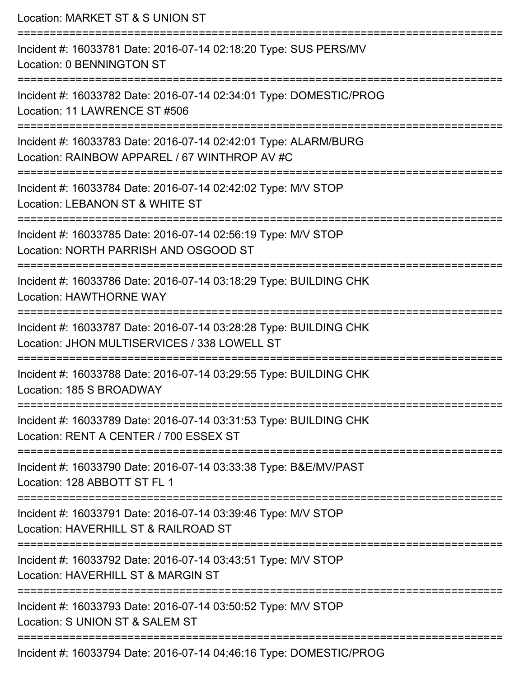| Location: MARKET ST & S UNION ST                                                                                  |
|-------------------------------------------------------------------------------------------------------------------|
| Incident #: 16033781 Date: 2016-07-14 02:18:20 Type: SUS PERS/MV<br>Location: 0 BENNINGTON ST                     |
| Incident #: 16033782 Date: 2016-07-14 02:34:01 Type: DOMESTIC/PROG<br>Location: 11 LAWRENCE ST #506               |
| Incident #: 16033783 Date: 2016-07-14 02:42:01 Type: ALARM/BURG<br>Location: RAINBOW APPAREL / 67 WINTHROP AV #C  |
| Incident #: 16033784 Date: 2016-07-14 02:42:02 Type: M/V STOP<br>Location: LEBANON ST & WHITE ST                  |
| Incident #: 16033785 Date: 2016-07-14 02:56:19 Type: M/V STOP<br>Location: NORTH PARRISH AND OSGOOD ST            |
| Incident #: 16033786 Date: 2016-07-14 03:18:29 Type: BUILDING CHK<br><b>Location: HAWTHORNE WAY</b>               |
| Incident #: 16033787 Date: 2016-07-14 03:28:28 Type: BUILDING CHK<br>Location: JHON MULTISERVICES / 338 LOWELL ST |
| Incident #: 16033788 Date: 2016-07-14 03:29:55 Type: BUILDING CHK<br>Location: 185 S BROADWAY                     |
| Incident #: 16033789 Date: 2016-07-14 03:31:53 Type: BUILDING CHK<br>Location: RENT A CENTER / 700 ESSEX ST       |
| Incident #: 16033790 Date: 2016-07-14 03:33:38 Type: B&E/MV/PAST<br>Location: 128 ABBOTT ST FL 1                  |
| Incident #: 16033791 Date: 2016-07-14 03:39:46 Type: M/V STOP<br>Location: HAVERHILL ST & RAILROAD ST             |
| Incident #: 16033792 Date: 2016-07-14 03:43:51 Type: M/V STOP<br>Location: HAVERHILL ST & MARGIN ST               |
| Incident #: 16033793 Date: 2016-07-14 03:50:52 Type: M/V STOP<br>Location: S UNION ST & SALEM ST                  |
| Incident #: 16033794 Date: 2016-07-14 04:46:16 Type: DOMESTIC/PROG                                                |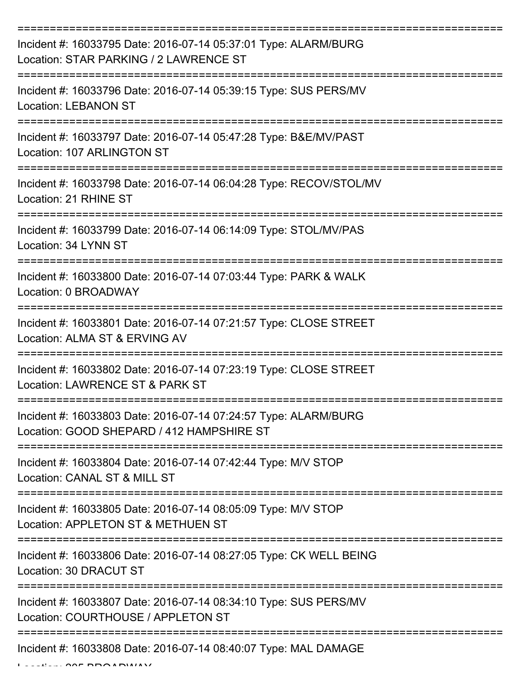| Incident #: 16033795 Date: 2016-07-14 05:37:01 Type: ALARM/BURG<br>Location: STAR PARKING / 2 LAWRENCE ST    |
|--------------------------------------------------------------------------------------------------------------|
| Incident #: 16033796 Date: 2016-07-14 05:39:15 Type: SUS PERS/MV<br><b>Location: LEBANON ST</b>              |
| Incident #: 16033797 Date: 2016-07-14 05:47:28 Type: B&E/MV/PAST<br>Location: 107 ARLINGTON ST               |
| Incident #: 16033798 Date: 2016-07-14 06:04:28 Type: RECOV/STOL/MV<br>Location: 21 RHINE ST                  |
| Incident #: 16033799 Date: 2016-07-14 06:14:09 Type: STOL/MV/PAS<br>Location: 34 LYNN ST                     |
| Incident #: 16033800 Date: 2016-07-14 07:03:44 Type: PARK & WALK<br>Location: 0 BROADWAY                     |
| Incident #: 16033801 Date: 2016-07-14 07:21:57 Type: CLOSE STREET<br>Location: ALMA ST & ERVING AV           |
| Incident #: 16033802 Date: 2016-07-14 07:23:19 Type: CLOSE STREET<br>Location: LAWRENCE ST & PARK ST         |
| Incident #: 16033803 Date: 2016-07-14 07:24:57 Type: ALARM/BURG<br>Location: GOOD SHEPARD / 412 HAMPSHIRE ST |
| Incident #: 16033804 Date: 2016-07-14 07:42:44 Type: M/V STOP<br>Location: CANAL ST & MILL ST                |
| Incident #: 16033805 Date: 2016-07-14 08:05:09 Type: M/V STOP<br>Location: APPLETON ST & METHUEN ST          |
| Incident #: 16033806 Date: 2016-07-14 08:27:05 Type: CK WELL BEING<br>Location: 30 DRACUT ST                 |
| Incident #: 16033807 Date: 2016-07-14 08:34:10 Type: SUS PERS/MV<br>Location: COURTHOUSE / APPLETON ST       |
| Incident #: 16033808 Date: 2016-07-14 08:40:07 Type: MAL DAMAGE                                              |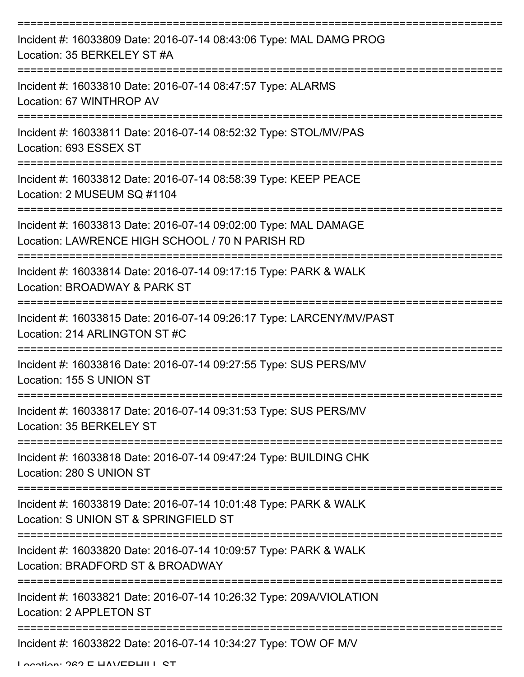| Incident #: 16033809 Date: 2016-07-14 08:43:06 Type: MAL DAMG PROG<br>Location: 35 BERKELEY ST #A                                           |
|---------------------------------------------------------------------------------------------------------------------------------------------|
| Incident #: 16033810 Date: 2016-07-14 08:47:57 Type: ALARMS<br>Location: 67 WINTHROP AV                                                     |
| Incident #: 16033811 Date: 2016-07-14 08:52:32 Type: STOL/MV/PAS<br>Location: 693 ESSEX ST                                                  |
| Incident #: 16033812 Date: 2016-07-14 08:58:39 Type: KEEP PEACE<br>Location: 2 MUSEUM SQ #1104                                              |
| Incident #: 16033813 Date: 2016-07-14 09:02:00 Type: MAL DAMAGE<br>Location: LAWRENCE HIGH SCHOOL / 70 N PARISH RD<br>--------------------- |
| ===============================<br>Incident #: 16033814 Date: 2016-07-14 09:17:15 Type: PARK & WALK<br>Location: BROADWAY & PARK ST         |
| Incident #: 16033815 Date: 2016-07-14 09:26:17 Type: LARCENY/MV/PAST<br>Location: 214 ARLINGTON ST #C                                       |
| Incident #: 16033816 Date: 2016-07-14 09:27:55 Type: SUS PERS/MV<br>Location: 155 S UNION ST                                                |
| Incident #: 16033817 Date: 2016-07-14 09:31:53 Type: SUS PERS/MV<br>Location: 35 BERKELEY ST                                                |
| Incident #: 16033818 Date: 2016-07-14 09:47:24 Type: BUILDING CHK<br>Location: 280 S UNION ST                                               |
| Incident #: 16033819 Date: 2016-07-14 10:01:48 Type: PARK & WALK<br>Location: S UNION ST & SPRINGFIELD ST                                   |
| Incident #: 16033820 Date: 2016-07-14 10:09:57 Type: PARK & WALK<br>Location: BRADFORD ST & BROADWAY                                        |
| Incident #: 16033821 Date: 2016-07-14 10:26:32 Type: 209A/VIOLATION<br>Location: 2 APPLETON ST                                              |
| ----------------------------------<br>--------------------<br>Incident #: 16033822 Date: 2016-07-14 10:34:27 Type: TOW OF M/V               |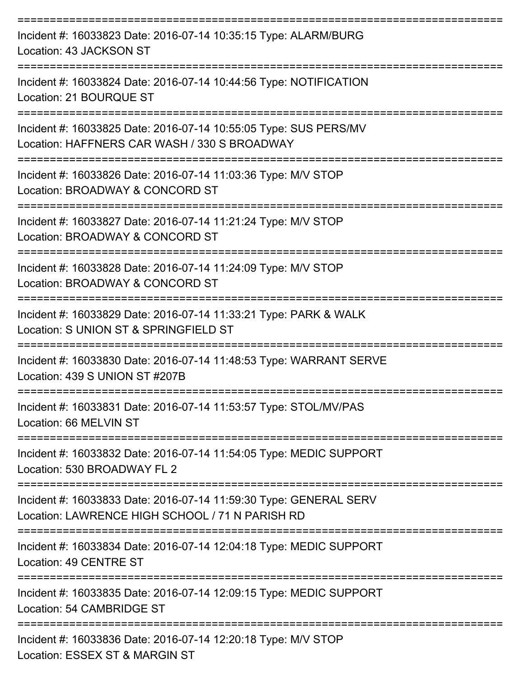| Incident #: 16033823 Date: 2016-07-14 10:35:15 Type: ALARM/BURG<br>Location: 43 JACKSON ST<br>==================================== |
|------------------------------------------------------------------------------------------------------------------------------------|
| Incident #: 16033824 Date: 2016-07-14 10:44:56 Type: NOTIFICATION<br>Location: 21 BOURQUE ST<br>---------------                    |
| Incident #: 16033825 Date: 2016-07-14 10:55:05 Type: SUS PERS/MV<br>Location: HAFFNERS CAR WASH / 330 S BROADWAY                   |
| Incident #: 16033826 Date: 2016-07-14 11:03:36 Type: M/V STOP<br>Location: BROADWAY & CONCORD ST                                   |
| Incident #: 16033827 Date: 2016-07-14 11:21:24 Type: M/V STOP<br>Location: BROADWAY & CONCORD ST                                   |
| Incident #: 16033828 Date: 2016-07-14 11:24:09 Type: M/V STOP<br>Location: BROADWAY & CONCORD ST                                   |
| Incident #: 16033829 Date: 2016-07-14 11:33:21 Type: PARK & WALK<br>Location: S UNION ST & SPRINGFIELD ST                          |
| Incident #: 16033830 Date: 2016-07-14 11:48:53 Type: WARRANT SERVE<br>Location: 439 S UNION ST #207B                               |
| Incident #: 16033831 Date: 2016-07-14 11:53:57 Type: STOL/MV/PAS<br>Location: 66 MELVIN ST                                         |
| Incident #: 16033832 Date: 2016-07-14 11:54:05 Type: MEDIC SUPPORT<br>Location: 530 BROADWAY FL 2                                  |
| Incident #: 16033833 Date: 2016-07-14 11:59:30 Type: GENERAL SERV<br>Location: LAWRENCE HIGH SCHOOL / 71 N PARISH RD               |
| Incident #: 16033834 Date: 2016-07-14 12:04:18 Type: MEDIC SUPPORT<br>Location: 49 CENTRE ST                                       |
| Incident #: 16033835 Date: 2016-07-14 12:09:15 Type: MEDIC SUPPORT<br>Location: 54 CAMBRIDGE ST                                    |
| Incident #: 16033836 Date: 2016-07-14 12:20:18 Type: M/V STOP<br>Location: ESSEX ST & MARGIN ST                                    |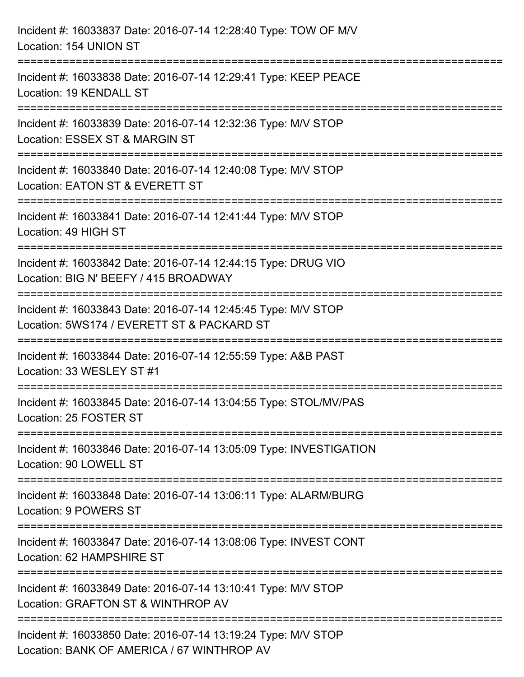| Incident #: 16033837 Date: 2016-07-14 12:28:40 Type: TOW OF M/V<br>Location: 154 UNION ST                                             |
|---------------------------------------------------------------------------------------------------------------------------------------|
| Incident #: 16033838 Date: 2016-07-14 12:29:41 Type: KEEP PEACE<br>Location: 19 KENDALL ST                                            |
| Incident #: 16033839 Date: 2016-07-14 12:32:36 Type: M/V STOP<br>Location: ESSEX ST & MARGIN ST<br>:==============================    |
| Incident #: 16033840 Date: 2016-07-14 12:40:08 Type: M/V STOP<br>Location: EATON ST & EVERETT ST                                      |
| Incident #: 16033841 Date: 2016-07-14 12:41:44 Type: M/V STOP<br>Location: 49 HIGH ST                                                 |
| Incident #: 16033842 Date: 2016-07-14 12:44:15 Type: DRUG VIO<br>Location: BIG N' BEEFY / 415 BROADWAY                                |
| ======================<br>Incident #: 16033843 Date: 2016-07-14 12:45:45 Type: M/V STOP<br>Location: 5WS174 / EVERETT ST & PACKARD ST |
| Incident #: 16033844 Date: 2016-07-14 12:55:59 Type: A&B PAST<br>Location: 33 WESLEY ST #1                                            |
| Incident #: 16033845 Date: 2016-07-14 13:04:55 Type: STOL/MV/PAS<br>Location: 25 FOSTER ST                                            |
| Incident #: 16033846 Date: 2016-07-14 13:05:09 Type: INVESTIGATION<br>Location: 90 LOWELL ST                                          |
| Incident #: 16033848 Date: 2016-07-14 13:06:11 Type: ALARM/BURG<br>Location: 9 POWERS ST                                              |
| Incident #: 16033847 Date: 2016-07-14 13:08:06 Type: INVEST CONT<br>Location: 62 HAMPSHIRE ST                                         |
| Incident #: 16033849 Date: 2016-07-14 13:10:41 Type: M/V STOP<br>Location: GRAFTON ST & WINTHROP AV                                   |
| Incident #: 16033850 Date: 2016-07-14 13:19:24 Type: M/V STOP<br>Location: BANK OF AMERICA / 67 WINTHROP AV                           |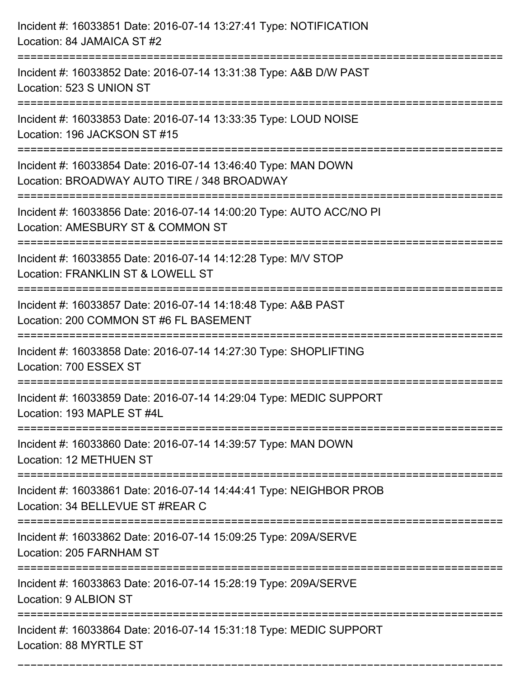| Incident #: 16033851 Date: 2016-07-14 13:27:41 Type: NOTIFICATION<br>Location: 84 JAMAICA ST #2                                                                       |
|-----------------------------------------------------------------------------------------------------------------------------------------------------------------------|
| :===================================<br>Incident #: 16033852 Date: 2016-07-14 13:31:38 Type: A&B D/W PAST<br>Location: 523 S UNION ST                                 |
| ---------------<br>Incident #: 16033853 Date: 2016-07-14 13:33:35 Type: LOUD NOISE<br>Location: 196 JACKSON ST #15                                                    |
| Incident #: 16033854 Date: 2016-07-14 13:46:40 Type: MAN DOWN<br>Location: BROADWAY AUTO TIRE / 348 BROADWAY<br>:=============================                        |
| Incident #: 16033856 Date: 2016-07-14 14:00:20 Type: AUTO ACC/NO PI<br>Location: AMESBURY ST & COMMON ST                                                              |
| Incident #: 16033855 Date: 2016-07-14 14:12:28 Type: M/V STOP<br>Location: FRANKLIN ST & LOWELL ST<br>--------------------------<br>--------------------------------- |
| Incident #: 16033857 Date: 2016-07-14 14:18:48 Type: A&B PAST<br>Location: 200 COMMON ST #6 FL BASEMENT                                                               |
| Incident #: 16033858 Date: 2016-07-14 14:27:30 Type: SHOPLIFTING<br>Location: 700 ESSEX ST                                                                            |
| Incident #: 16033859 Date: 2016-07-14 14:29:04 Type: MEDIC SUPPORT<br>Location: 193 MAPLE ST #4L                                                                      |
| Incident #: 16033860 Date: 2016-07-14 14:39:57 Type: MAN DOWN<br>Location: 12 METHUEN ST                                                                              |
| Incident #: 16033861 Date: 2016-07-14 14:44:41 Type: NEIGHBOR PROB<br>Location: 34 BELLEVUE ST #REAR C                                                                |
| Incident #: 16033862 Date: 2016-07-14 15:09:25 Type: 209A/SERVE<br>Location: 205 FARNHAM ST                                                                           |
| Incident #: 16033863 Date: 2016-07-14 15:28:19 Type: 209A/SERVE<br>Location: 9 ALBION ST                                                                              |
| Incident #: 16033864 Date: 2016-07-14 15:31:18 Type: MEDIC SUPPORT<br>Location: 88 MYRTLE ST                                                                          |

===========================================================================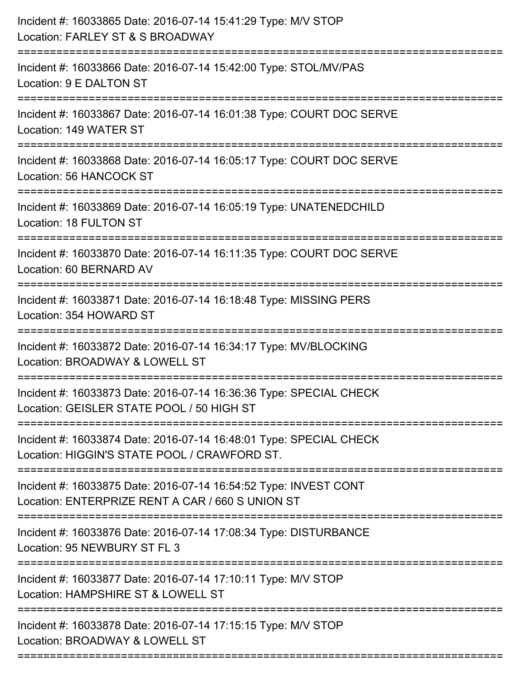| Incident #: 16033865 Date: 2016-07-14 15:41:29 Type: M/V STOP<br>Location: FARLEY ST & S BROADWAY                       |
|-------------------------------------------------------------------------------------------------------------------------|
| ;=======================<br>Incident #: 16033866 Date: 2016-07-14 15:42:00 Type: STOL/MV/PAS<br>Location: 9 E DALTON ST |
| Incident #: 16033867 Date: 2016-07-14 16:01:38 Type: COURT DOC SERVE<br>Location: 149 WATER ST                          |
| Incident #: 16033868 Date: 2016-07-14 16:05:17 Type: COURT DOC SERVE<br>Location: 56 HANCOCK ST                         |
| Incident #: 16033869 Date: 2016-07-14 16:05:19 Type: UNATENEDCHILD<br>Location: 18 FULTON ST                            |
| Incident #: 16033870 Date: 2016-07-14 16:11:35 Type: COURT DOC SERVE<br>Location: 60 BERNARD AV                         |
| Incident #: 16033871 Date: 2016-07-14 16:18:48 Type: MISSING PERS<br>Location: 354 HOWARD ST                            |
| Incident #: 16033872 Date: 2016-07-14 16:34:17 Type: MV/BLOCKING<br>Location: BROADWAY & LOWELL ST                      |
| Incident #: 16033873 Date: 2016-07-14 16:36:36 Type: SPECIAL CHECK<br>Location: GEISLER STATE POOL / 50 HIGH ST         |
| Incident #: 16033874 Date: 2016-07-14 16:48:01 Type: SPECIAL CHECK<br>Location: HIGGIN'S STATE POOL / CRAWFORD ST.      |
| Incident #: 16033875 Date: 2016-07-14 16:54:52 Type: INVEST CONT<br>Location: ENTERPRIZE RENT A CAR / 660 S UNION ST    |
| Incident #: 16033876 Date: 2016-07-14 17:08:34 Type: DISTURBANCE<br>Location: 95 NEWBURY ST FL 3                        |
| Incident #: 16033877 Date: 2016-07-14 17:10:11 Type: M/V STOP<br>Location: HAMPSHIRE ST & LOWELL ST                     |
| Incident #: 16033878 Date: 2016-07-14 17:15:15 Type: M/V STOP<br>Location: BROADWAY & LOWELL ST                         |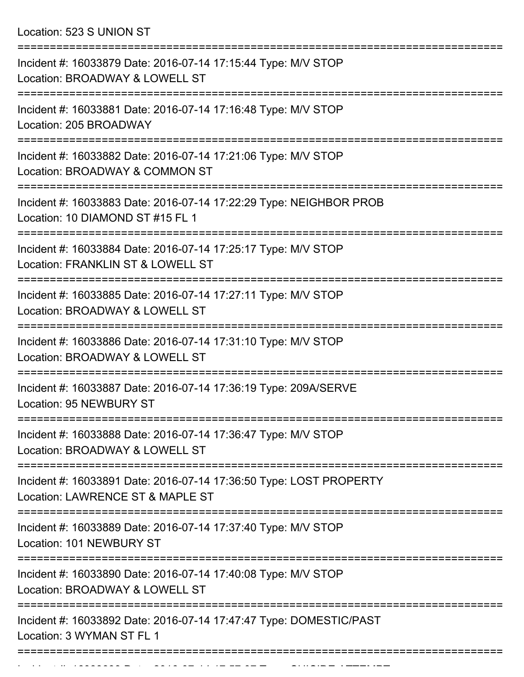Location: 523 S UNION ST

| Incident #: 16033879 Date: 2016-07-14 17:15:44 Type: M/V STOP<br>Location: BROADWAY & LOWELL ST        |
|--------------------------------------------------------------------------------------------------------|
| Incident #: 16033881 Date: 2016-07-14 17:16:48 Type: M/V STOP<br>Location: 205 BROADWAY                |
| Incident #: 16033882 Date: 2016-07-14 17:21:06 Type: M/V STOP<br>Location: BROADWAY & COMMON ST        |
| Incident #: 16033883 Date: 2016-07-14 17:22:29 Type: NEIGHBOR PROB<br>Location: 10 DIAMOND ST #15 FL 1 |
| Incident #: 16033884 Date: 2016-07-14 17:25:17 Type: M/V STOP<br>Location: FRANKLIN ST & LOWELL ST     |
| Incident #: 16033885 Date: 2016-07-14 17:27:11 Type: M/V STOP<br>Location: BROADWAY & LOWELL ST        |
| Incident #: 16033886 Date: 2016-07-14 17:31:10 Type: M/V STOP<br>Location: BROADWAY & LOWELL ST        |
| Incident #: 16033887 Date: 2016-07-14 17:36:19 Type: 209A/SERVE<br>Location: 95 NEWBURY ST             |
| Incident #: 16033888 Date: 2016-07-14 17:36:47 Type: M/V STOP<br>Location: BROADWAY & LOWELL ST        |
| Incident #: 16033891 Date: 2016-07-14 17:36:50 Type: LOST PROPERTY<br>Location: LAWRENCE ST & MAPLE ST |
| Incident #: 16033889 Date: 2016-07-14 17:37:40 Type: M/V STOP<br>Location: 101 NEWBURY ST              |
| Incident #: 16033890 Date: 2016-07-14 17:40:08 Type: M/V STOP<br>Location: BROADWAY & LOWELL ST        |
| Incident #: 16033892 Date: 2016-07-14 17:47:47 Type: DOMESTIC/PAST<br>Location: 3 WYMAN ST FL 1        |
|                                                                                                        |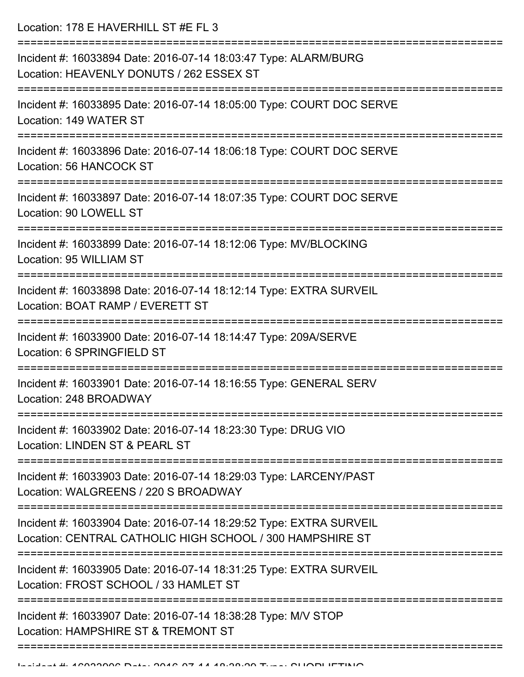Location: 178 E HAVERHILL ST #E FL 3

| Incident #: 16033894 Date: 2016-07-14 18:03:47 Type: ALARM/BURG<br>Location: HEAVENLY DONUTS / 262 ESSEX ST                     |
|---------------------------------------------------------------------------------------------------------------------------------|
| Incident #: 16033895 Date: 2016-07-14 18:05:00 Type: COURT DOC SERVE<br>Location: 149 WATER ST                                  |
| Incident #: 16033896 Date: 2016-07-14 18:06:18 Type: COURT DOC SERVE<br>Location: 56 HANCOCK ST                                 |
| Incident #: 16033897 Date: 2016-07-14 18:07:35 Type: COURT DOC SERVE<br>Location: 90 LOWELL ST<br>-----------------             |
| Incident #: 16033899 Date: 2016-07-14 18:12:06 Type: MV/BLOCKING<br>Location: 95 WILLIAM ST                                     |
| Incident #: 16033898 Date: 2016-07-14 18:12:14 Type: EXTRA SURVEIL<br>Location: BOAT RAMP / EVERETT ST                          |
| Incident #: 16033900 Date: 2016-07-14 18:14:47 Type: 209A/SERVE<br>Location: 6 SPRINGFIELD ST                                   |
| Incident #: 16033901 Date: 2016-07-14 18:16:55 Type: GENERAL SERV<br>Location: 248 BROADWAY                                     |
| Incident #: 16033902 Date: 2016-07-14 18:23:30 Type: DRUG VIO<br>Location: LINDEN ST & PEARL ST                                 |
| Incident #: 16033903 Date: 2016-07-14 18:29:03 Type: LARCENY/PAST<br>Location: WALGREENS / 220 S BROADWAY                       |
| Incident #: 16033904 Date: 2016-07-14 18:29:52 Type: EXTRA SURVEIL<br>Location: CENTRAL CATHOLIC HIGH SCHOOL / 300 HAMPSHIRE ST |
| Incident #: 16033905 Date: 2016-07-14 18:31:25 Type: EXTRA SURVEIL<br>Location: FROST SCHOOL / 33 HAMLET ST                     |
| Incident #: 16033907 Date: 2016-07-14 18:38:28 Type: M/V STOP<br>Location: HAMPSHIRE ST & TREMONT ST                            |
|                                                                                                                                 |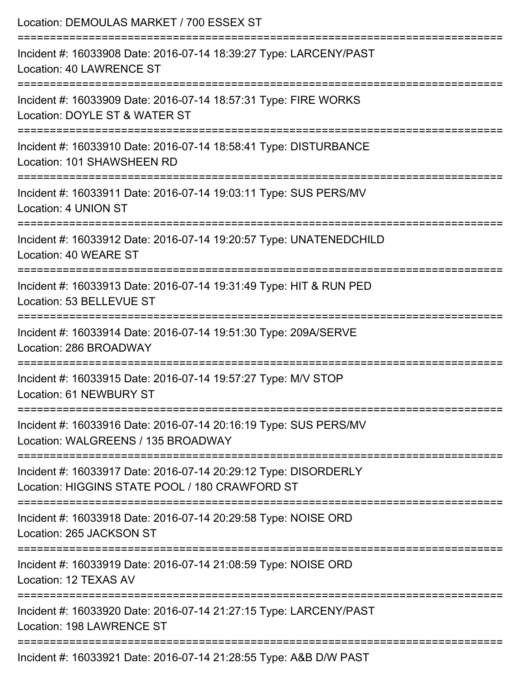| Location: DEMOULAS MARKET / 700 ESSEX ST                                                                                                                          |
|-------------------------------------------------------------------------------------------------------------------------------------------------------------------|
| Incident #: 16033908 Date: 2016-07-14 18:39:27 Type: LARCENY/PAST<br><b>Location: 40 LAWRENCE ST</b>                                                              |
| Incident #: 16033909 Date: 2016-07-14 18:57:31 Type: FIRE WORKS<br>Location: DOYLE ST & WATER ST                                                                  |
| Incident #: 16033910 Date: 2016-07-14 18:58:41 Type: DISTURBANCE<br>Location: 101 SHAWSHEEN RD                                                                    |
| Incident #: 16033911 Date: 2016-07-14 19:03:11 Type: SUS PERS/MV<br>Location: 4 UNION ST                                                                          |
| Incident #: 16033912 Date: 2016-07-14 19:20:57 Type: UNATENEDCHILD<br>Location: 40 WEARE ST                                                                       |
| :================================<br>--------------------------<br>Incident #: 16033913 Date: 2016-07-14 19:31:49 Type: HIT & RUN PED<br>Location: 53 BELLEVUE ST |
| Incident #: 16033914 Date: 2016-07-14 19:51:30 Type: 209A/SERVE<br>Location: 286 BROADWAY                                                                         |
| Incident #: 16033915 Date: 2016-07-14 19:57:27 Type: M/V STOP<br>Location: 61 NEWBURY ST                                                                          |
| Incident #: 16033916 Date: 2016-07-14 20:16:19 Type: SUS PERS/MV<br>Location: WALGREENS / 135 BROADWAY                                                            |
| Incident #: 16033917 Date: 2016-07-14 20:29:12 Type: DISORDERLY<br>Location: HIGGINS STATE POOL / 180 CRAWFORD ST                                                 |
| Incident #: 16033918 Date: 2016-07-14 20:29:58 Type: NOISE ORD<br>Location: 265 JACKSON ST                                                                        |
| Incident #: 16033919 Date: 2016-07-14 21:08:59 Type: NOISE ORD<br>Location: 12 TEXAS AV                                                                           |
| Incident #: 16033920 Date: 2016-07-14 21:27:15 Type: LARCENY/PAST<br>Location: 198 LAWRENCE ST                                                                    |
| Incident #: 16033921 Date: 2016-07-14 21:28:55 Type: A&B D/W PAST                                                                                                 |